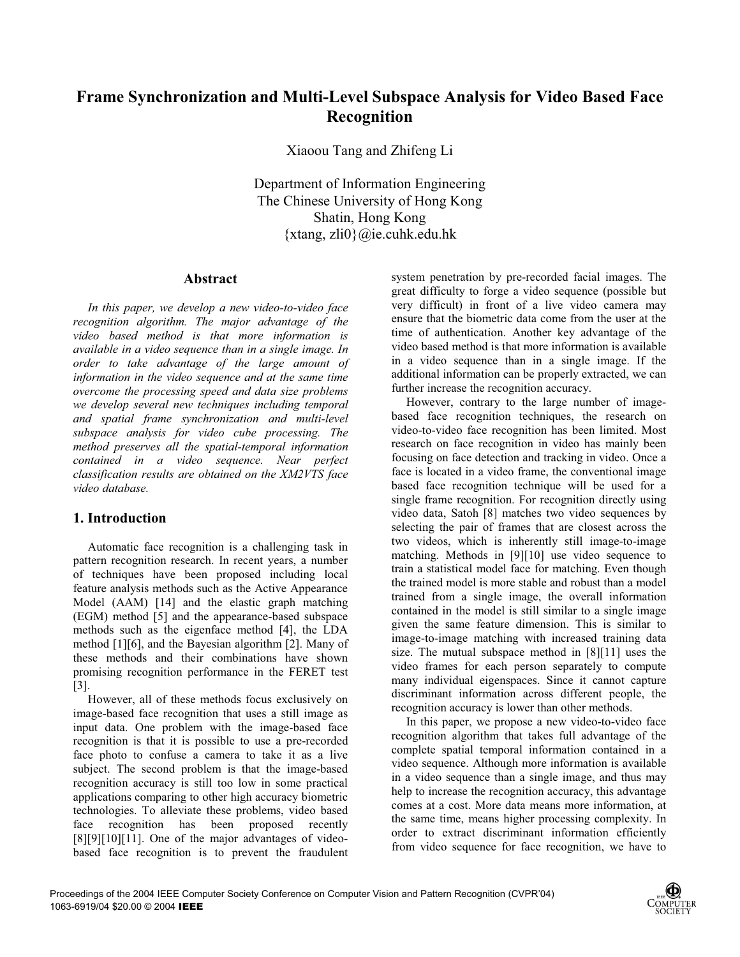# **Frame Synchronization and Multi-Level Subspace Analysis for Video Based Face Recognition**

Xiaoou Tang and Zhifeng Li

Department of Information Engineering The Chinese University of Hong Kong Shatin, Hong Kong  $\{x \tan\theta, z \in \mathbb{R} \}$ @ie.cuhk.edu.hk

#### **Abstract**

*In this paper, we develop a new video-to-video face recognition algorithm. The major advantage of the video based method is that more information is available in a video sequence than in a single image. In order to take advantage of the large amount of information in the video sequence and at the same time overcome the processing speed and data size problems we develop several new techniques including temporal and spatial frame synchronization and multi-level subspace analysis for video cube processing. The method preserves all the spatial-temporal information contained in a video sequence. Near perfect classification results are obtained on the XM2VTS face video database.*

## **1. Introduction**

Automatic face recognition is a challenging task in pattern recognition research. In recent years, a number of techniques have been proposed including local feature analysis methods such as the Active Appearance Model (AAM) [14] and the elastic graph matching (EGM) method [5] and the appearance-based subspace methods such as the eigenface method [4], the LDA method [1][6], and the Bayesian algorithm [2]. Many of these methods and their combinations have shown promising recognition performance in the FERET test [3].

However, all of these methods focus exclusively on image-based face recognition that uses a still image as input data. One problem with the image-based face recognition is that it is possible to use a pre-recorded face photo to confuse a camera to take it as a live subject. The second problem is that the image-based recognition accuracy is still too low in some practical applications comparing to other high accuracy biometric technologies. To alleviate these problems, video based face recognition has been proposed recently [8][9][10][11]. One of the major advantages of videobased face recognition is to prevent the fraudulent

system penetration by pre-recorded facial images. The great difficulty to forge a video sequence (possible but very difficult) in front of a live video camera may ensure that the biometric data come from the user at the time of authentication. Another key advantage of the video based method is that more information is available in a video sequence than in a single image. If the additional information can be properly extracted, we can further increase the recognition accuracy.

However, contrary to the large number of imagebased face recognition techniques, the research on video-to-video face recognition has been limited. Most research on face recognition in video has mainly been focusing on face detection and tracking in video. Once a face is located in a video frame, the conventional image based face recognition technique will be used for a single frame recognition. For recognition directly using video data, Satoh [8] matches two video sequences by selecting the pair of frames that are closest across the two videos, which is inherently still image-to-image matching. Methods in [9][10] use video sequence to train a statistical model face for matching. Even though the trained model is more stable and robust than a model trained from a single image, the overall information contained in the model is still similar to a single image given the same feature dimension. This is similar to image-to-image matching with increased training data size. The mutual subspace method in [8][11] uses the video frames for each person separately to compute many individual eigenspaces. Since it cannot capture discriminant information across different people, the recognition accuracy is lower than other methods.

In this paper, we propose a new video-to-video face recognition algorithm that takes full advantage of the complete spatial temporal information contained in a video sequence. Although more information is available in a video sequence than a single image, and thus may help to increase the recognition accuracy, this advantage comes at a cost. More data means more information, at the same time, means higher processing complexity. In order to extract discriminant information efficiently from video sequence for face recognition, we have to

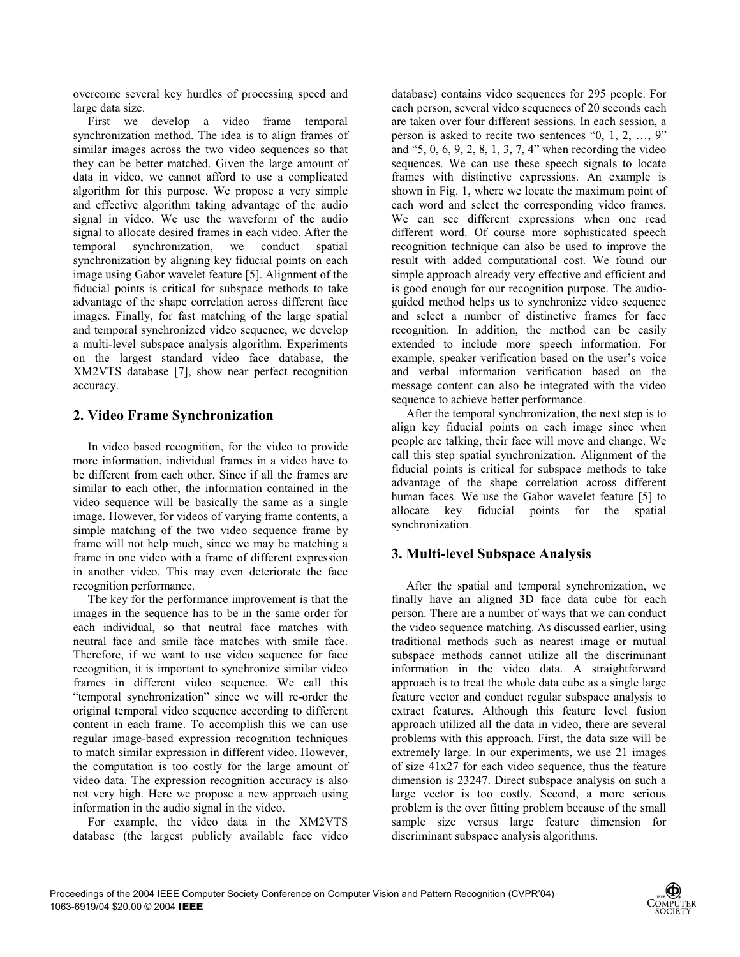overcome several key hurdles of processing speed and large data size.

First we develop a video frame temporal synchronization method. The idea is to align frames of similar images across the two video sequences so that they can be better matched. Given the large amount of data in video, we cannot afford to use a complicated algorithm for this purpose. We propose a very simple and effective algorithm taking advantage of the audio signal in video. We use the waveform of the audio signal to allocate desired frames in each video. After the temporal synchronization, we conduct spatial synchronization by aligning key fiducial points on each image using Gabor wavelet feature [5]. Alignment of the fiducial points is critical for subspace methods to take advantage of the shape correlation across different face images. Finally, for fast matching of the large spatial and temporal synchronized video sequence, we develop a multi-level subspace analysis algorithm. Experiments on the largest standard video face database, the XM2VTS database [7], show near perfect recognition accuracy.

## **2. Video Frame Synchronization**

In video based recognition, for the video to provide more information, individual frames in a video have to be different from each other. Since if all the frames are similar to each other, the information contained in the video sequence will be basically the same as a single image. However, for videos of varying frame contents, a simple matching of the two video sequence frame by frame will not help much, since we may be matching a frame in one video with a frame of different expression in another video. This may even deteriorate the face recognition performance.

The key for the performance improvement is that the images in the sequence has to be in the same order for each individual, so that neutral face matches with neutral face and smile face matches with smile face. Therefore, if we want to use video sequence for face recognition, it is important to synchronize similar video frames in different video sequence. We call this "temporal synchronization" since we will re-order the original temporal video sequence according to different content in each frame. To accomplish this we can use regular image-based expression recognition techniques to match similar expression in different video. However, the computation is too costly for the large amount of video data. The expression recognition accuracy is also not very high. Here we propose a new approach using information in the audio signal in the video.

For example, the video data in the XM2VTS database (the largest publicly available face video

database) contains video sequences for 295 people. For each person, several video sequences of 20 seconds each are taken over four different sessions. In each session, a person is asked to recite two sentences "0, 1, 2, …, 9" and "5, 0, 6, 9, 2, 8, 1, 3, 7, 4" when recording the video sequences. We can use these speech signals to locate frames with distinctive expressions. An example is shown in Fig. 1, where we locate the maximum point of each word and select the corresponding video frames. We can see different expressions when one read different word. Of course more sophisticated speech recognition technique can also be used to improve the result with added computational cost. We found our simple approach already very effective and efficient and is good enough for our recognition purpose. The audioguided method helps us to synchronize video sequence and select a number of distinctive frames for face recognition. In addition, the method can be easily extended to include more speech information. For example, speaker verification based on the user's voice and verbal information verification based on the message content can also be integrated with the video sequence to achieve better performance.

After the temporal synchronization, the next step is to align key fiducial points on each image since when people are talking, their face will move and change. We call this step spatial synchronization. Alignment of the fiducial points is critical for subspace methods to take advantage of the shape correlation across different human faces. We use the Gabor wavelet feature [5] to allocate key fiducial points for the spatial synchronization.

## **3. Multi-level Subspace Analysis**

After the spatial and temporal synchronization, we finally have an aligned 3D face data cube for each person. There are a number of ways that we can conduct the video sequence matching. As discussed earlier, using traditional methods such as nearest image or mutual subspace methods cannot utilize all the discriminant information in the video data. A straightforward approach is to treat the whole data cube as a single large feature vector and conduct regular subspace analysis to extract features. Although this feature level fusion approach utilized all the data in video, there are several problems with this approach. First, the data size will be extremely large. In our experiments, we use 21 images of size 41x27 for each video sequence, thus the feature dimension is 23247. Direct subspace analysis on such a large vector is too costly. Second, a more serious problem is the over fitting problem because of the small sample size versus large feature dimension for discriminant subspace analysis algorithms.

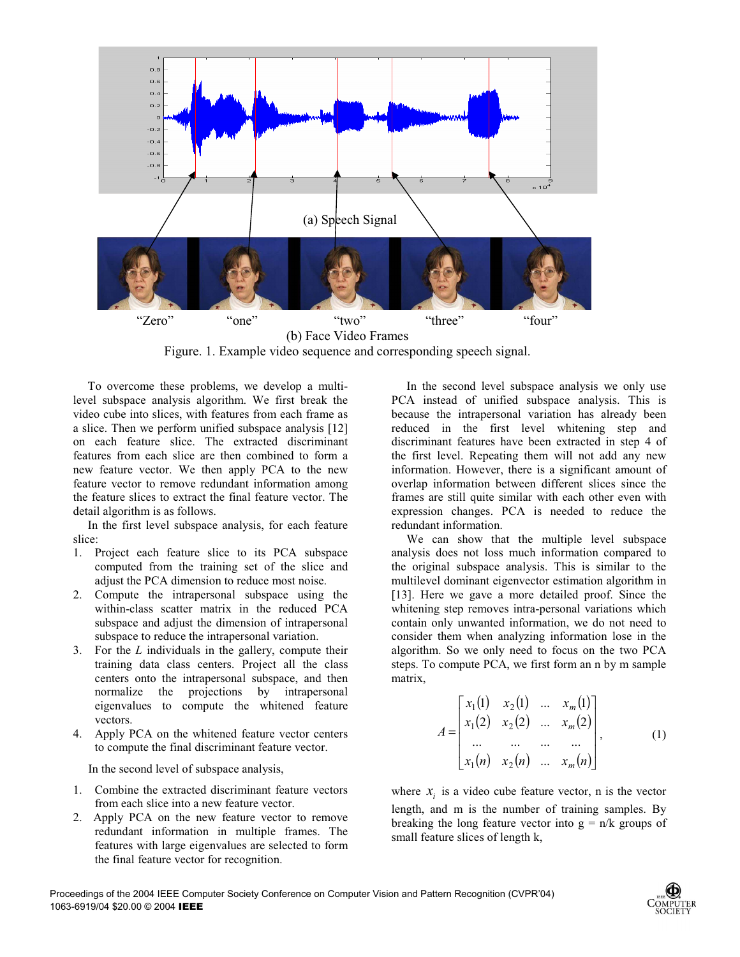

Figure. 1. Example video sequence and corresponding speech signal.

To overcome these problems, we develop a multilevel subspace analysis algorithm. We first break the video cube into slices, with features from each frame as a slice. Then we perform unified subspace analysis [12] on each feature slice. The extracted discriminant features from each slice are then combined to form a new feature vector. We then apply PCA to the new feature vector to remove redundant information among the feature slices to extract the final feature vector. The detail algorithm is as follows.

In the first level subspace analysis, for each feature slice:

- 1. Project each feature slice to its PCA subspace computed from the training set of the slice and adjust the PCA dimension to reduce most noise.
- 2. Compute the intrapersonal subspace using the within-class scatter matrix in the reduced PCA subspace and adjust the dimension of intrapersonal subspace to reduce the intrapersonal variation.
- 3. For the *L* individuals in the gallery, compute their training data class centers. Project all the class centers onto the intrapersonal subspace, and then normalize the projections by intrapersonal eigenvalues to compute the whitened feature vectors.
- 4. Apply PCA on the whitened feature vector centers to compute the final discriminant feature vector.

In the second level of subspace analysis,

- 1. Combine the extracted discriminant feature vectors from each slice into a new feature vector.
- 2. Apply PCA on the new feature vector to remove redundant information in multiple frames. The features with large eigenvalues are selected to form the final feature vector for recognition.

 In the second level subspace analysis we only use PCA instead of unified subspace analysis. This is because the intrapersonal variation has already been reduced in the first level whitening step and discriminant features have been extracted in step 4 of the first level. Repeating them will not add any new information. However, there is a significant amount of overlap information between different slices since the frames are still quite similar with each other even with expression changes. PCA is needed to reduce the redundant information.

 We can show that the multiple level subspace analysis does not loss much information compared to the original subspace analysis. This is similar to the multilevel dominant eigenvector estimation algorithm in [13]. Here we gave a more detailed proof. Since the whitening step removes intra-personal variations which contain only unwanted information, we do not need to consider them when analyzing information lose in the algorithm. So we only need to focus on the two PCA steps. To compute PCA, we first form an n by m sample matrix,

$$
A = \begin{bmatrix} x_1(1) & x_2(1) & \dots & x_m(1) \\ x_1(2) & x_2(2) & \dots & x_m(2) \\ \dots & \dots & \dots & \dots \\ x_1(n) & x_2(n) & \dots & x_m(n) \end{bmatrix},
$$
 (1)

where  $x_i$  is a video cube feature vector, n is the vector length, and m is the number of training samples. By breaking the long feature vector into  $g = n/k$  groups of small feature slices of length k,

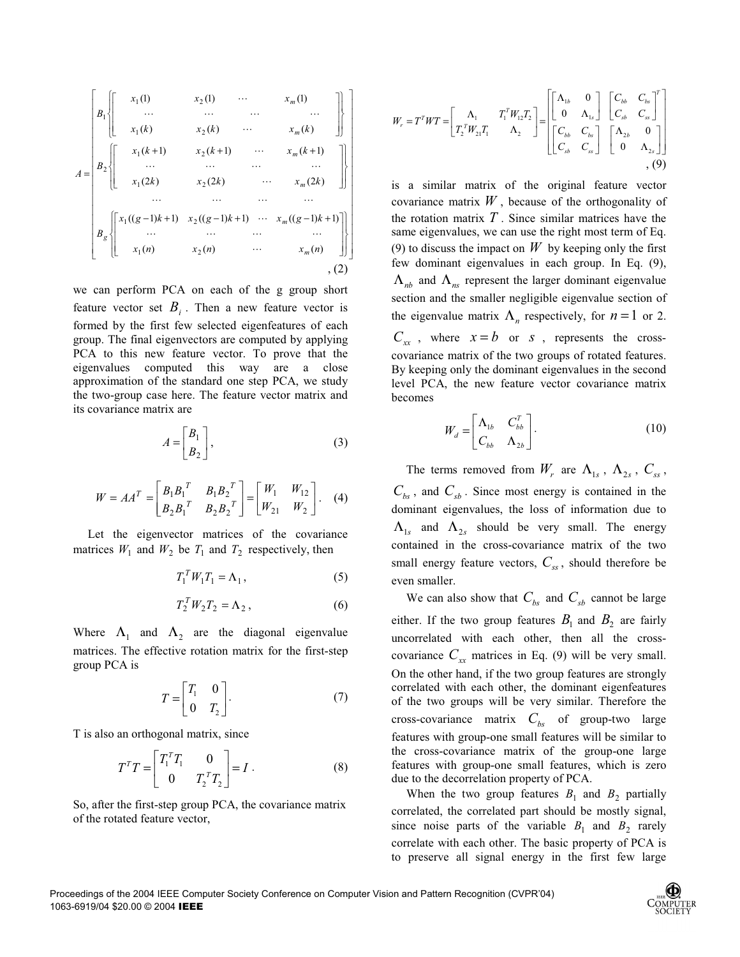$$
A = \begin{bmatrix} B_1 \begin{bmatrix} x_1(1) & x_2(1) & \cdots & x_m(1) \\ \vdots & \vdots & \ddots & \vdots \\ x_1(k) & x_2(k) & \cdots & x_m(k) \end{bmatrix} \\ B_2 \begin{bmatrix} x_1(k+1) & x_2(k+1) & \cdots & x_m(k+1) \\ \vdots & \vdots & \ddots & \vdots \\ x_1(2k) & x_2(2k) & \cdots & x_m(2k) \end{bmatrix} \\ \vdots \\ B_g \begin{bmatrix} x_1((g-1)k+1) & x_2((g-1)k+1) & \cdots & x_m((g-1)k+1) \\ \vdots & \vdots & \ddots & \vdots \\ x_1(n) & x_2(n) & \cdots & x_m(n) \end{bmatrix} \end{bmatrix}
$$

we can perform PCA on each of the g group short feature vector set  $B_i$ . Then a new feature vector is formed by the first few selected eigenfeatures of each group. The final eigenvectors are computed by applying PCA to this new feature vector. To prove that the eigenvalues computed this way are a close approximation of the standard one step PCA, we study the two-group case here. The feature vector matrix and its covariance matrix are

$$
A = \begin{bmatrix} B_1 \\ B_2 \end{bmatrix},\tag{3}
$$

$$
W = AA^T = \begin{bmatrix} B_1 B_1^T & B_1 B_2^T \\ B_2 B_1^T & B_2 B_2^T \end{bmatrix} = \begin{bmatrix} W_1 & W_{12} \\ W_{21} & W_2 \end{bmatrix}.
$$
 (4)

Let the eigenvector matrices of the covariance matrices  $W_1$  and  $W_2$  be  $T_1$  and  $T_2$  respectively, then

$$
T_1^T W_1 T_1 = \Lambda_1, \qquad (5)
$$

$$
T_2^T W_2 T_2 = \Lambda_2, \qquad (6)
$$

Where  $\Lambda_1$  and  $\Lambda_2$  are the diagonal eigenvalue matrices. The effective rotation matrix for the first-step group PCA is

$$
T = \begin{bmatrix} T_1 & 0 \\ 0 & T_2 \end{bmatrix} . \tag{7}
$$

T is also an orthogonal matrix, since

$$
T^T T = \begin{bmatrix} T_1^T T_1 & 0 \\ 0 & T_2^T T_2 \end{bmatrix} = I .
$$
 (8)

So, after the first-step group PCA, the covariance matrix of the rotated feature vector,

$$
W_r = T^T W T = \begin{bmatrix} \Lambda_1 & T_1^T W_{12} T_2 \\ T_2^T W_{21} T_1 & \Lambda_2 \end{bmatrix} = \begin{bmatrix} \begin{bmatrix} \Lambda_{1b} & 0 \\ 0 & \Lambda_{1s} \end{bmatrix} & \begin{bmatrix} C_{bb} & C_{bs} \\ C_{sb} & C_{ss} \end{bmatrix}^T \\ \begin{bmatrix} C_{bb} & C_{bs} \\ C_{sb} & C_{ss} \end{bmatrix} & \begin{bmatrix} \Lambda_{2b} & 0 \\ 0 & \Lambda_{2s} \end{bmatrix} \end{bmatrix}
$$
  
(9)

is a similar matrix of the original feature vector covariance matrix  $W$ , because of the orthogonality of the rotation matrix  $T$ . Since similar matrices have the same eigenvalues, we can use the right most term of Eq. (9) to discuss the impact on  $W$  by keeping only the first few dominant eigenvalues in each group. In Eq. (9),  $\Lambda_{nb}$  and  $\Lambda_{ns}$  represent the larger dominant eigenvalue section and the smaller negligible eigenvalue section of the eigenvalue matrix  $\Lambda_n$  respectively, for  $n=1$  or 2.  $C_{xx}$ , where  $x = b$  or *s*, represents the crosscovariance matrix of the two groups of rotated features. By keeping only the dominant eigenvalues in the second level PCA, the new feature vector covariance matrix becomes

$$
W_d = \begin{bmatrix} \Lambda_{1b} & C_{bb}^T \\ C_{bb} & \Lambda_{2b} \end{bmatrix} .
$$
 (10)

The terms removed from  $W_r$  are  $\Lambda_{1s}$ ,  $\Lambda_{2s}$ ,  $C_{ss}$ ,  $C_{bs}$ , and  $C_{sb}$ . Since most energy is contained in the dominant eigenvalues, the loss of information due to  $\Lambda_{1s}$  and  $\Lambda_{2s}$  should be very small. The energy contained in the cross-covariance matrix of the two small energy feature vectors,  $C_{ss}$ , should therefore be even smaller.

We can also show that  $C_{bs}$  and  $C_{sb}$  cannot be large either. If the two group features  $B_1$  and  $B_2$  are fairly uncorrelated with each other, then all the crosscovariance  $C_{xx}$  matrices in Eq. (9) will be very small. On the other hand, if the two group features are strongly correlated with each other, the dominant eigenfeatures of the two groups will be very similar. Therefore the cross-covariance matrix  $C_{bs}$  of group-two large features with group-one small features will be similar to the cross-covariance matrix of the group-one large features with group-one small features, which is zero due to the decorrelation property of PCA.

When the two group features  $B_1$  and  $B_2$  partially correlated, the correlated part should be mostly signal, since noise parts of the variable  $B_1$  and  $B_2$  rarely correlate with each other. The basic property of PCA is to preserve all signal energy in the first few large

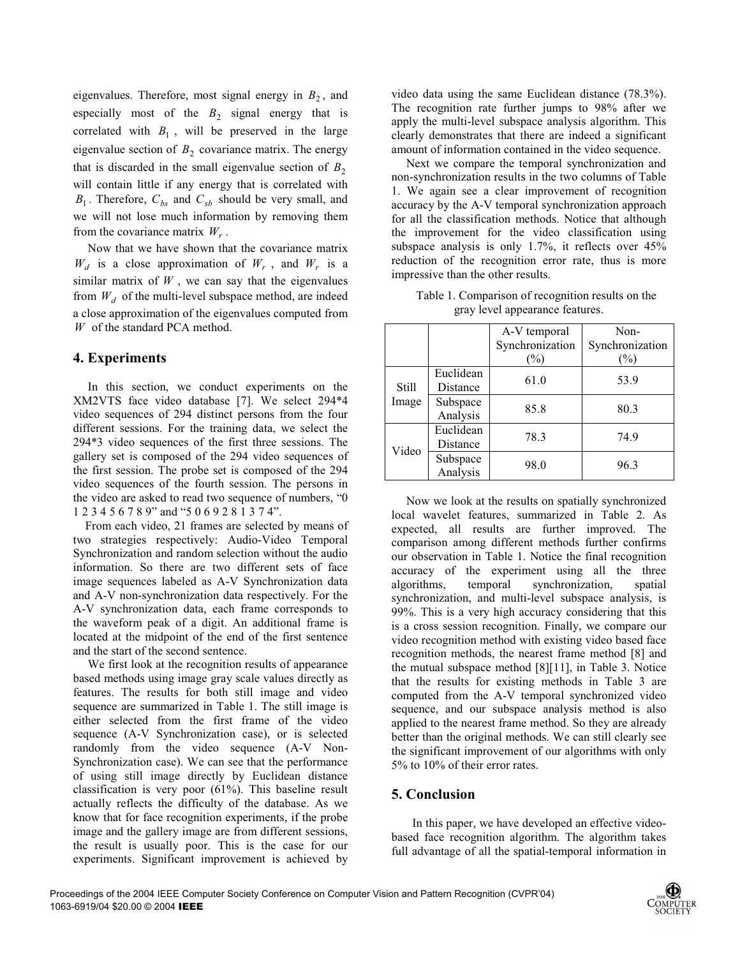eigenvalues. Therefore, most signal energy in  $B_2$ , and especially most of the  $B_2$  signal energy that is correlated with  $B_1$ , will be preserved in the large eigenvalue section of  $B_2$  covariance matrix. The energy that is discarded in the small eigenvalue section of  $B_2$ will contain little if any energy that is correlated with  $B_1$ . Therefore,  $C_{bs}$  and  $C_{sb}$  should be very small, and we will not lose much information by removing them from the covariance matrix  $W_r$ .

Now that we have shown that the covariance matrix  $W_d$  is a close approximation of  $W_r$ , and  $W_r$  is a similar matrix of  $W$ , we can say that the eigenvalues from  $W_d$  of the multi-level subspace method, are indeed a close approximation of the eigenvalues computed from *W* of the standard PCA method.

### **4. Experiments**

In this section, we conduct experiments on the XM2VTS face video database [7]. We select 294\*4 video sequences of 294 distinct persons from the four different sessions. For the training data, we select the 294\*3 video sequences of the first three sessions. The gallery set is composed of the 294 video sequences of the first session. The probe set is composed of the 294 video sequences of the fourth session. The persons in the video are asked to read two sequence of numbers, "0 1 2 3 4 5 6 7 8 9" and "5 0 6 9 2 8 1 3 7 4".

 From each video, 21 frames are selected by means of two strategies respectively: Audio-Video Temporal Synchronization and random selection without the audio information. So there are two different sets of face image sequences labeled as A-V Synchronization data and A-V non-synchronization data respectively. For the A-V synchronization data, each frame corresponds to the waveform peak of a digit. An additional frame is located at the midpoint of the end of the first sentence and the start of the second sentence.

We first look at the recognition results of appearance based methods using image gray scale values directly as features. The results for both still image and video sequence are summarized in Table 1. The still image is either selected from the first frame of the video sequence (A-V Synchronization case), or is selected randomly from the video sequence (A-V Non-Synchronization case). We can see that the performance of using still image directly by Euclidean distance classification is very poor (61%). This baseline result actually reflects the difficulty of the database. As we know that for face recognition experiments, if the probe image and the gallery image are from different sessions, the result is usually poor. This is the case for our experiments. Significant improvement is achieved by video data using the same Euclidean distance (78.3%). The recognition rate further jumps to 98% after we apply the multi-level subspace analysis algorithm. This clearly demonstrates that there are indeed a significant amount of information contained in the video sequence.

Next we compare the temporal synchronization and non-synchronization results in the two columns of Table 1. We again see a clear improvement of recognition accuracy by the A-V temporal synchronization approach for all the classification methods. Notice that although the improvement for the video classification using subspace analysis is only 1.7%, it reflects over 45% reduction of the recognition error rate, thus is more impressive than the other results.

|                |                       | A-V temporal<br>Synchronization<br>$(\%)$ | Non-<br>Synchronization<br>(%) |
|----------------|-----------------------|-------------------------------------------|--------------------------------|
| Still<br>Image | Euclidean<br>Distance | 61.0                                      | 53.9                           |
|                | Subspace<br>Analysis  | 85.8                                      | 80.3                           |
| Video          | Euclidean<br>Distance | 78.3                                      | 74.9                           |
|                | Subspace<br>Analysis  | 98.0                                      | 96.3                           |

Table 1. Comparison of recognition results on the gray level appearance features.

Now we look at the results on spatially synchronized local wavelet features, summarized in Table 2. As expected, all results are further improved. The comparison among different methods further confirms our observation in Table 1. Notice the final recognition accuracy of the experiment using all the three algorithms, temporal synchronization, spatial synchronization, and multi-level subspace analysis, is 99%. This is a very high accuracy considering that this is a cross session recognition. Finally, we compare our video recognition method with existing video based face recognition methods, the nearest frame method [8] and the mutual subspace method [8][11], in Table 3. Notice that the results for existing methods in Table 3 are computed from the A-V temporal synchronized video sequence, and our subspace analysis method is also applied to the nearest frame method. So they are already better than the original methods. We can still clearly see the significant improvement of our algorithms with only 5% to 10% of their error rates.

## **5. Conclusion**

 In this paper, we have developed an effective videobased face recognition algorithm. The algorithm takes full advantage of all the spatial-temporal information in